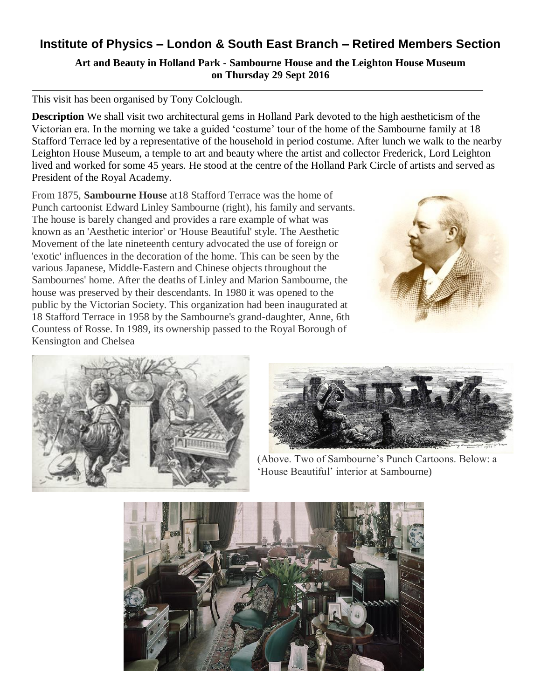# **Institute of Physics – London & South East Branch – Retired Members Section**

**Art and Beauty in Holland Park - Sambourne House and the Leighton House Museum on Thursday 29 Sept 2016**

#### This visit has been organised by Tony Colclough.

**Description** We shall visit two architectural gems in Holland Park devoted to the high aestheticism of the Victorian era. In the morning we take a guided 'costume' tour of the home of the Sambourne family at 18 Stafford Terrace led by a representative of the household in period costume. After lunch we walk to the nearby Leighton House Museum, a temple to art and beauty where the artist and collector Frederick, Lord Leighton lived and worked for some 45 years. He stood at the centre of the Holland Park Circle of artists and served as President of the Royal Academy.

From 1875, **Sambourne House** at18 Stafford Terrace was the home of Punch cartoonist Edward Linley Sambourne (right), his family and servants. The house is barely changed and provides a rare example of what was known as an 'Aesthetic interior' or 'House Beautiful' style. The Aesthetic Movement of the late nineteenth century advocated the use of foreign or 'exotic' influences in the decoration of the home. This can be seen by the various Japanese, Middle-Eastern and Chinese objects throughout the Sambournes' home. After the deaths of Linley and Marion Sambourne, the house was preserved by their descendants. In 1980 it was opened to the public by the Victorian Society. This organization had been inaugurated at 18 Stafford Terrace in 1958 by the Sambourne's grand-daughter, Anne, 6th Countess of Rosse. In 1989, its ownership passed to the Royal Borough of Kensington and Chelsea







(Above. Two of Sambourne's Punch Cartoons. Below: a 'House Beautiful' interior at Sambourne)

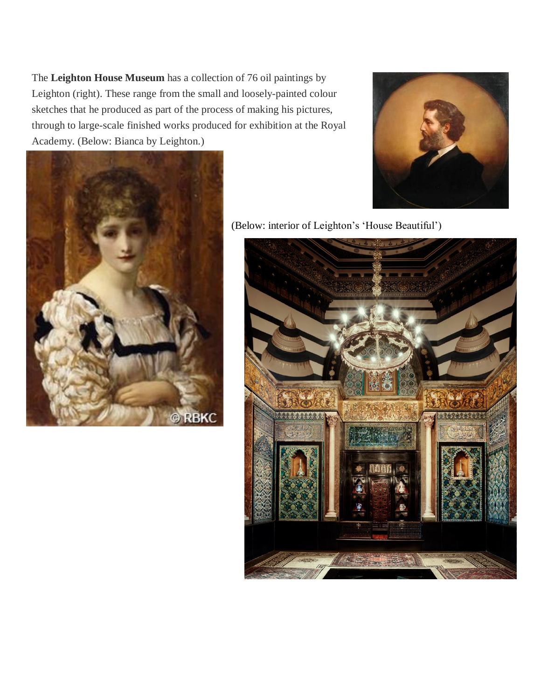The **Leighton House Museum** has a collection of 76 oil paintings by Leighton (right). These range from the small and loosely-painted colour sketches that he produced as part of the process of making his pictures, through to large-scale finished works produced for exhibition at the Royal Academy. (Below: Bianca by Leighton.)





(Below: interior of Leighton's 'House Beautiful')

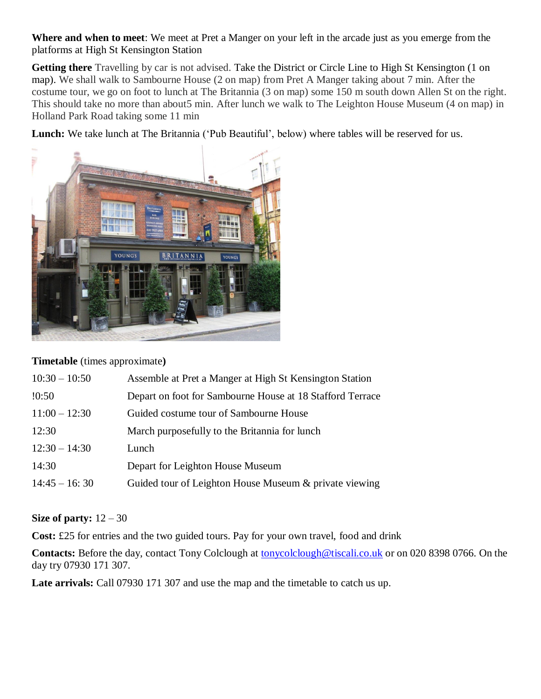**Where and when to meet**: We meet at Pret a Manger on your left in the arcade just as you emerge from the platforms at High St Kensington Station

**Getting there** Travelling by car is not advised. Take the District or Circle Line to High St Kensington (1 on map). We shall walk to Sambourne House (2 on map) from Pret A Manger taking about 7 min. After the costume tour, we go on foot to lunch at The Britannia (3 on map) some 150 m south down Allen St on the right. This should take no more than about5 min. After lunch we walk to The Leighton House Museum (4 on map) in Holland Park Road taking some 11 min

**Lunch:** We take lunch at The Britannia ('Pub Beautiful', below) where tables will be reserved for us.



### **Timetable** (times approximate**)**

| $10:30 - 10:50$ | Assemble at Pret a Manger at High St Kensington Station   |
|-----------------|-----------------------------------------------------------|
| !0:50           | Depart on foot for Sambourne House at 18 Stafford Terrace |
| $11:00 - 12:30$ | Guided costume tour of Sambourne House                    |
| 12:30           | March purposefully to the Britannia for lunch             |
| $12:30 - 14:30$ | Lunch                                                     |
| 14:30           | Depart for Leighton House Museum                          |
| $14:45 - 16:30$ | Guided tour of Leighton House Museum & private viewing    |

### **Size of party:** 12 – 30

**Cost:** £25 for entries and the two guided tours. Pay for your own travel, food and drink

**Contacts:** Before the day, contact Tony Colclough at [tonycolclough@tiscali.co.uk](mailto:tonycolclough@tiscali.co.uk) or on 020 8398 0766. On the day try 07930 171 307.

**Late arrivals:** Call 07930 171 307 and use the map and the timetable to catch us up.